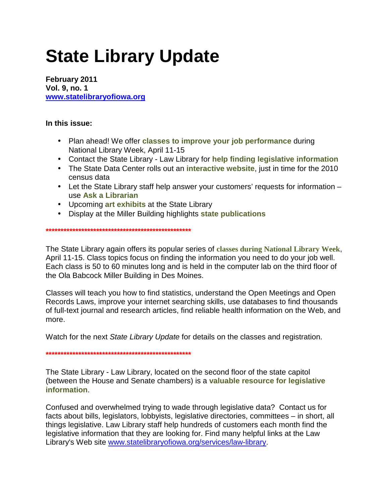# **State Library Update**

**February 2011 Vol. 9, no. 1 www.statelibraryofiowa.org**

## **In this issue:**

- Plan ahead! We offer **classes to improve your job performance** during National Library Week, April 11-15
- Contact the State Library Law Library for **help finding legislative information**
- The State Data Center rolls out an **interactive website**, just in time for the 2010 census data
- Let the State Library staff help answer your customers' requests for information use **Ask a Librarian**
- Upcoming **art exhibits** at the State Library
- Display at the Miller Building highlights **state publications**

**\*\*\*\*\*\*\*\*\*\*\*\*\*\*\*\*\*\*\*\*\*\*\*\*\*\*\*\*\*\*\*\*\*\*\*\*\*\*\*\*\*\*\*\*\*\*\*\*\*** 

The State Library again offers its popular series of **classes during National Library Week**, April 11-15. Class topics focus on finding the information you need to do your job well. Each class is 50 to 60 minutes long and is held in the computer lab on the third floor of the Ola Babcock Miller Building in Des Moines.

Classes will teach you how to find statistics, understand the Open Meetings and Open Records Laws, improve your internet searching skills, use databases to find thousands of full-text journal and research articles, find reliable health information on the Web, and more.

Watch for the next State Library Update for details on the classes and registration.

**\*\*\*\*\*\*\*\*\*\*\*\*\*\*\*\*\*\*\*\*\*\*\*\*\*\*\*\*\*\*\*\*\*\*\*\*\*\*\*\*\*\*\*\*\*\*\*\*\*** 

The State Library - Law Library, located on the second floor of the state capitol (between the House and Senate chambers) is a **valuable resource for legislative information**.

Confused and overwhelmed trying to wade through legislative data? Contact us for facts about bills, legislators, lobbyists, legislative directories, committees – in short, all things legislative. Law Library staff help hundreds of customers each month find the legislative information that they are looking for. Find many helpful links at the Law Library's Web site www.statelibraryofiowa.org/services/law-library.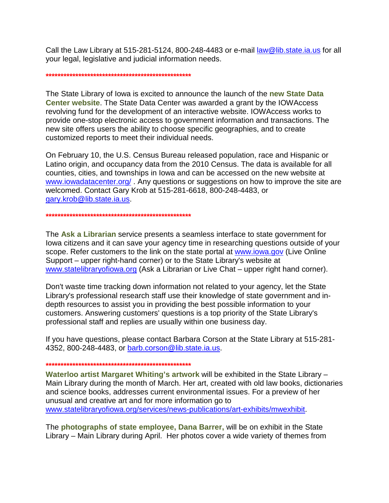Call the Law Library at 515-281-5124, 800-248-4483 or e-mail law@lib.state.ia.us for all your legal, legislative and judicial information needs.

#### **\*\*\*\*\*\*\*\*\*\*\*\*\*\*\*\*\*\*\*\*\*\*\*\*\*\*\*\*\*\*\*\*\*\*\*\*\*\*\*\*\*\*\*\*\*\*\*\*\***

The State Library of Iowa is excited to announce the launch of the **new State Data Center website**. The State Data Center was awarded a grant by the IOWAccess revolving fund for the development of an interactive website. IOWAccess works to provide one-stop electronic access to government information and transactions. The new site offers users the ability to choose specific geographies, and to create customized reports to meet their individual needs.

On February 10, the U.S. Census Bureau released population, race and Hispanic or Latino origin, and occupancy data from the 2010 Census. The data is available for all counties, cities, and townships in Iowa and can be accessed on the new website at www.iowadatacenter.org/. Any questions or suggestions on how to improve the site are welcomed. Contact Gary Krob at 515-281-6618, 800-248-4483, or gary.krob@lib.state.ia.us.

#### **\*\*\*\*\*\*\*\*\*\*\*\*\*\*\*\*\*\*\*\*\*\*\*\*\*\*\*\*\*\*\*\*\*\*\*\*\*\*\*\*\*\*\*\*\*\*\*\*\***

The **Ask a Librarian** service presents a seamless interface to state government for Iowa citizens and it can save your agency time in researching questions outside of your scope. Refer customers to the link on the state portal at www.iowa.gov (Live Online Support – upper right-hand corner) or to the State Library's website at www.statelibraryofiowa.org (Ask a Librarian or Live Chat – upper right hand corner).

Don't waste time tracking down information not related to your agency, let the State Library's professional research staff use their knowledge of state government and indepth resources to assist you in providing the best possible information to your customers. Answering customers' questions is a top priority of the State Library's professional staff and replies are usually within one business day.

If you have questions, please contact Barbara Corson at the State Library at 515-281- 4352, 800-248-4483, or barb.corson@lib.state.ia.us.

### **\*\*\*\*\*\*\*\*\*\*\*\*\*\*\*\*\*\*\*\*\*\*\*\*\*\*\*\*\*\*\*\*\*\*\*\*\*\*\*\*\*\*\*\*\*\*\*\*\***

**Waterloo artist Margaret Whiting's artwork** will be exhibited in the State Library – Main Library during the month of March. Her art, created with old law books, dictionaries and science books, addresses current environmental issues. For a preview of her unusual and creative art and for more information go to www.statelibraryofiowa.org/services/news-publications/art-exhibits/mwexhibit.

The **photographs of state employee, Dana Barrer,** will be on exhibit in the State Library – Main Library during April. Her photos cover a wide variety of themes from